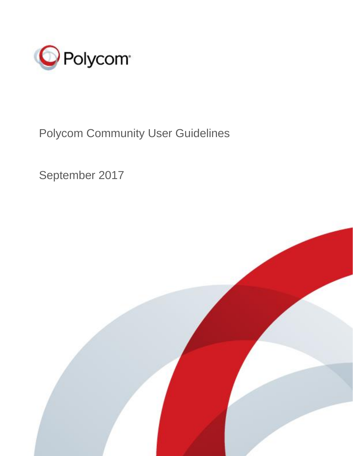

## Polycom Community User Guidelines

September 2017

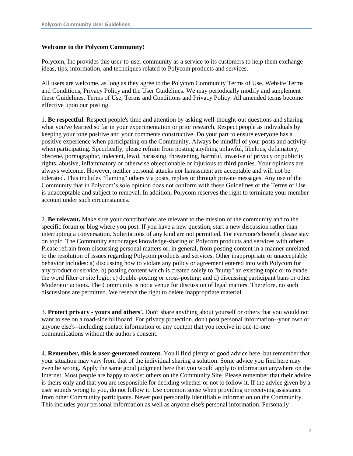## **Welcome to the Polycom Community!**

Polycom, Inc provides this user-to-user community as a service to its customers to help them exchange ideas, tips, information, and techniques related to Polycom products and services.

All users are welcome, as long as they agree to the Polycom Community Terms of Use, Website Terms and Conditions, Privacy Policy and the User Guidelines. We may periodically modify and supplement these Guidelines, Terms of Use, Terms and Conditions and Privacy Policy. All amended terms become effective upon our posting.

1. **Be respectful.** Respect people's time and attention by asking well-thought-out questions and sharing what you've learned so far in your experimentation or prior research. Respect people as individuals by keeping your tone positive and your comments constructive. Do your part to ensure everyone has a positive experience when participating on the Community. Always be mindful of your posts and activity when participating. Specifically, please refrain from posting anything unlawful, libelous, defamatory, obscene, pornographic, indecent, lewd, harassing, threatening, harmful, invasive of privacy or publicity rights, abusive, inflammatory or otherwise objectionable or injurious to third parties. Your opinions are always welcome. However, neither personal attacks nor harassment are acceptable and will not be tolerated. This includes "flaming" others via posts, replies or through private messages. Any use of the Community that in Polycom's sole opinion does not conform with these Guidelines or the Terms of Use is unacceptable and subject to removal. In addition, Polycom reserves the right to terminate your member account under such circumstances.

2. **Be relevant.** Make sure your contributions are relevant to the mission of the community and to the specific forum or blog where you post. If you have a new question, start a new discussion rather than interrupting a conversation. Solicitations of any kind are not permitted. For everyone's benefit please stay on topic. The Community encourages knowledge-sharing of Polycom products and services with others. Please refrain from discussing personal matters or, in general, from posting content in a manner unrelated to the resolution of issues regarding Polycom products and services. Other inappropriate or unacceptable behavior includes: a) discussing how to violate any policy or agreement entered into with Polycom for any product or service, b) posting content which is created solely to "bump" an existing topic or to evade the word filter or site logic; c) double-posting or cross-posting; and d) discussing participant bans or other Moderator actions. The Community is not a venue for discussion of legal matters. Therefore, no such discussions are permitted. We reserve the right to delete inappropriate material.

3. **Protect privacy - yours and others'.** Don't share anything about yourself or others that you would not want to see on a road-side billboard. For privacy protection, don't post personal information--your own or anyone else's--including contact information or any content that you receive in one-to-one communications without the author's consent.

4. **Remember, this is user-generated content.** You'll find plenty of good advice here, but remember that your situation may vary from that of the individual sharing a solution. Some advice you find here may even be wrong. Apply the same good judgment here that you would apply to information anywhere on the Internet. Most people are happy to assist others on the Community Site. Please remember that their advice is theirs only and that you are responsible for deciding whether or not to follow it. If the advice given by a user sounds wrong to you, do not follow it. Use common sense when providing or receiving assistance from other Community participants. Never post personally identifiable information on the Community. This includes your personal information as well as anyone else's personal information. Personally